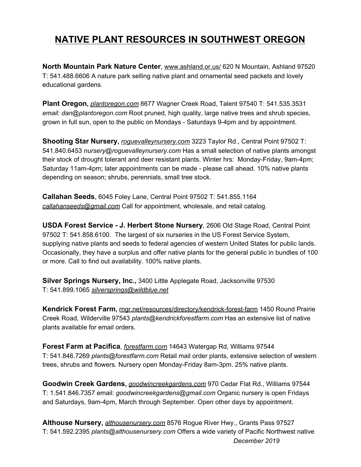## **NATIVE PLANT RESOURCES IN SOUTHWEST OREGON**

**North Mountain Park Nature Center**, [www.ashland.or.us/](https://www.ashland.or.us/Page.asp?NavID=17313) 620 N Mountain, Ashland 97520 T: 541.488.6606 A nature park selling native plant and ornamental seed packets and lovely educational gardens.

**Plant Oregon,** *[plantoregon.com](http://plantoregon.com/)* 8677 Wagner Creek Road, Talent 97540 T: 541.535.3531 *email: dan@plantoregon.com* Root pruned, high quality, large native trees and shrub species, grown in full sun, open to the public on Mondays - Saturdays 9-4pm and by appointment.

**Shooting Star Nursery,** *[roguevalleynursery.com](http://roguevalleynursery.com/)* 3223 Taylor Rd., Central Point 97502 T: 541.840.6453 *nursery@roguevalleynursery.com* Has a small selection of native plants amongst their stock of drought tolerant and deer resistant plants. Winter hrs: Monday-Friday, 9am-4pm; Saturday 11am-4pm; later appointments can be made - please call ahead. 10% native plants depending on season; shrubs, perennials, small tree stock.

**Callahan Seeds**, 6045 Foley Lane, Central Point 97502 T: 541.855.1164 *[callahanseeds@gmail.com](mailto:callahanseeds@gmail.com)* Call for appointment, wholesale, and retail catalog.

**USDA Forest Service - J. Herbert Stone Nursery**, 2606 Old Stage Road, Central Point 97502 T: 541.858.6100. The largest of six nurseries in the US Forest Service System, supplying native plants and seeds to federal agencies of western United States for public lands. Occasionally, they have a surplus and offer native plants for the general public in bundles of 100 or more. Call to find out availability. 100% native plants.

**Silver Springs Nursery, Inc.,** 3400 Little Applegate Road, Jacksonville 97530 T: 541.899.1065 *[silversprings@wildblue.net](mailto:silversprings@wildblue.net)*

**Kendrick Forest Farm,** [rngr.net/resources/directory/kendrick-forest-farm](https://rngr.net/resources/directory/kendrick-forest-farm) 1450 Round Prairie Creek Road, Wilderville 97543 *plants@kendrickforestfarm.com* Has an extensive list of native plants available for email orders.

**Forest Farm at Pacifica**, *[forestfarm.com](http://forestfarm.com/)* 14643 Watergap Rd, Williams 97544 T: 541.846.7269 *plants@forestfarm.com* Retail mail order plants, extensive selection of western trees, shrubs and flowers. Nursery open Monday-Friday 8am-3pm. 25% native plants.

**Goodwin Creek Gardens,** *[goodwincreekgardens.com](http://goodwincreekgardens.com/)* 970 Cedar Flat Rd., Williams 97544 T: 1.541.846.7357 email: *goodwincreekgardens@gmail.com* Organic nursery is open Fridays and Saturdays, 9am-4pm, March through September. Open other days by appointment.

**Althouse Nursery,** *[althousenursery.com](http://althousenursery.com/)* 8576 Rogue River Hwy., Grants Pass 97527 T: 541.592.2395 *plants@althousenursery.com* Offers a wide variety of Pacific Northwest native *December 2019*